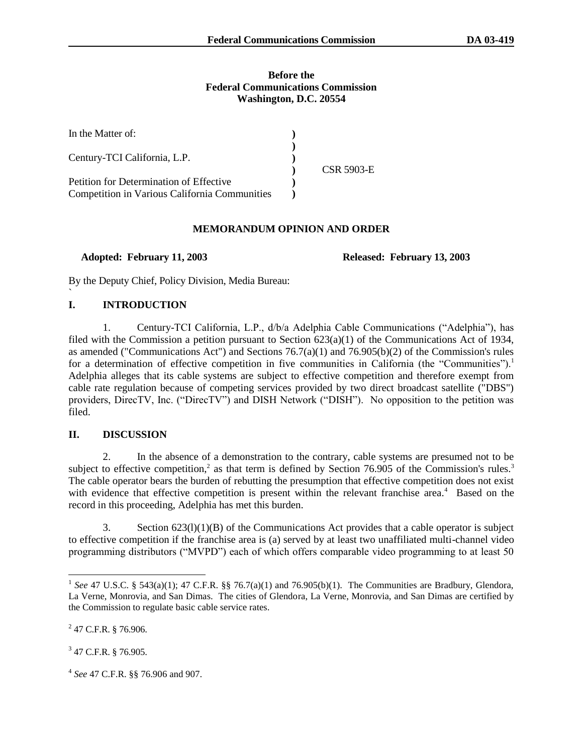#### **Before the Federal Communications Commission Washington, D.C. 20554**

| In the Matter of:                             |            |
|-----------------------------------------------|------------|
| Century-TCI California, L.P.                  |            |
|                                               | CSR 5903-E |
| Petition for Determination of Effective       |            |
| Competition in Various California Communities |            |

#### **MEMORANDUM OPINION AND ORDER**

 **Adopted: February 11, 2003 Released: February 13, 2003**

By the Deputy Chief, Policy Division, Media Bureau:

## **I. INTRODUCTION**

`

1. Century-TCI California, L.P., d/b/a Adelphia Cable Communications ("Adelphia"), has filed with the Commission a petition pursuant to Section 623(a)(1) of the Communications Act of 1934, as amended ("Communications Act") and Sections 76.7(a)(1) and 76.905(b)(2) of the Commission's rules for a determination of effective competition in five communities in California (the "Communities").<sup>1</sup> Adelphia alleges that its cable systems are subject to effective competition and therefore exempt from cable rate regulation because of competing services provided by two direct broadcast satellite ("DBS") providers, DirecTV, Inc. ("DirecTV") and DISH Network ("DISH"). No opposition to the petition was filed.

# **II. DISCUSSION**

2. In the absence of a demonstration to the contrary, cable systems are presumed not to be subject to effective competition,<sup>2</sup> as that term is defined by Section 76.905 of the Commission's rules.<sup>3</sup> The cable operator bears the burden of rebutting the presumption that effective competition does not exist with evidence that effective competition is present within the relevant franchise area.<sup>4</sup> Based on the record in this proceeding, Adelphia has met this burden.

3. Section  $623(1)(1)(B)$  of the Communications Act provides that a cable operator is subject to effective competition if the franchise area is (a) served by at least two unaffiliated multi-channel video programming distributors ("MVPD") each of which offers comparable video programming to at least 50

<sup>&</sup>lt;sup>1</sup> See 47 U.S.C. § 543(a)(1); 47 C.F.R. §§ 76.7(a)(1) and 76.905(b)(1). The Communities are Bradbury, Glendora, La Verne, Monrovia, and San Dimas. The cities of Glendora, La Verne, Monrovia, and San Dimas are certified by the Commission to regulate basic cable service rates.

 $2$  47 C.F.R. § 76.906.

<sup>&</sup>lt;sup>3</sup> 47 C.F.R. § 76.905.

<sup>4</sup> *See* 47 C.F.R. §§ 76.906 and 907.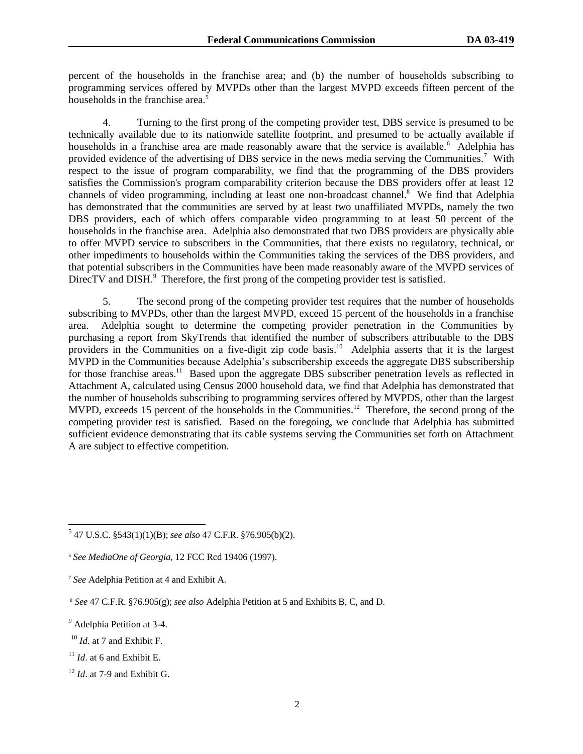percent of the households in the franchise area; and (b) the number of households subscribing to programming services offered by MVPDs other than the largest MVPD exceeds fifteen percent of the households in the franchise area. $\frac{5}{5}$ 

4. Turning to the first prong of the competing provider test, DBS service is presumed to be technically available due to its nationwide satellite footprint, and presumed to be actually available if households in a franchise area are made reasonably aware that the service is available.<sup>6</sup> Adelphia has provided evidence of the advertising of DBS service in the news media serving the Communities.<sup>7</sup> With respect to the issue of program comparability, we find that the programming of the DBS providers satisfies the Commission's program comparability criterion because the DBS providers offer at least 12 channels of video programming, including at least one non-broadcast channel.<sup>8</sup> We find that Adelphia has demonstrated that the communities are served by at least two unaffiliated MVPDs, namely the two DBS providers, each of which offers comparable video programming to at least 50 percent of the households in the franchise area. Adelphia also demonstrated that two DBS providers are physically able to offer MVPD service to subscribers in the Communities, that there exists no regulatory, technical, or other impediments to households within the Communities taking the services of the DBS providers, and that potential subscribers in the Communities have been made reasonably aware of the MVPD services of DirecTV and DISH.<sup>9</sup> Therefore, the first prong of the competing provider test is satisfied.

5. The second prong of the competing provider test requires that the number of households subscribing to MVPDs, other than the largest MVPD, exceed 15 percent of the households in a franchise area. Adelphia sought to determine the competing provider penetration in the Communities by purchasing a report from SkyTrends that identified the number of subscribers attributable to the DBS providers in the Communities on a five-digit zip code basis.<sup>10</sup> Adelphia asserts that it is the largest MVPD in the Communities because Adelphia's subscribership exceeds the aggregate DBS subscribership for those franchise areas.<sup>11</sup> Based upon the aggregate DBS subscriber penetration levels as reflected in Attachment A, calculated using Census 2000 household data, we find that Adelphia has demonstrated that the number of households subscribing to programming services offered by MVPDS, other than the largest MVPD, exceeds 15 percent of the households in the Communities.<sup>12</sup> Therefore, the second prong of the competing provider test is satisfied. Based on the foregoing, we conclude that Adelphia has submitted sufficient evidence demonstrating that its cable systems serving the Communities set forth on Attachment A are subject to effective competition.

 5 47 U.S.C. §543(1)(1)(B); *see also* 47 C.F.R. §76.905(b)(2).

<sup>6</sup> *See MediaOne of Georgia*, 12 FCC Rcd 19406 (1997).

<sup>7</sup> *See* Adelphia Petition at 4 and Exhibit A.

<sup>8</sup> *See* 47 C.F.R. §76.905(g); *see also* Adelphia Petition at 5 and Exhibits B, C, and D.

*<sup>9</sup>* Adelphia Petition at 3-4.

<sup>10</sup> *Id*. at 7 and Exhibit F.

 $11$  *Id.* at 6 and Exhibit E.

 $12$  *Id.* at 7-9 and Exhibit G.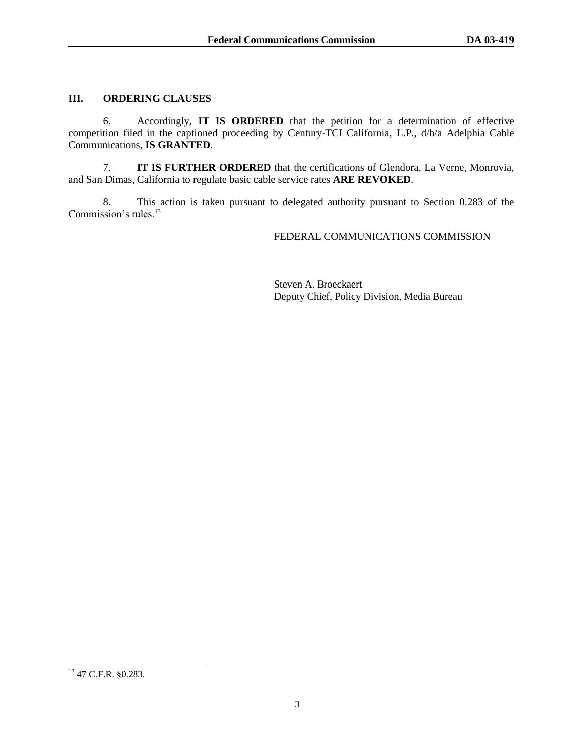## **III. ORDERING CLAUSES**

6. Accordingly, **IT IS ORDERED** that the petition for a determination of effective competition filed in the captioned proceeding by Century-TCI California, L.P., d/b/a Adelphia Cable Communications, **IS GRANTED**.

7. **IT IS FURTHER ORDERED** that the certifications of Glendora, La Verne, Monrovia, and San Dimas, California to regulate basic cable service rates **ARE REVOKED**.

8. This action is taken pursuant to delegated authority pursuant to Section 0.283 of the Commission's rules.<sup>13</sup>

FEDERAL COMMUNICATIONS COMMISSION

Steven A. Broeckaert Deputy Chief, Policy Division, Media Bureau

l  $^{13}$  47 C.F.R. §0.283.